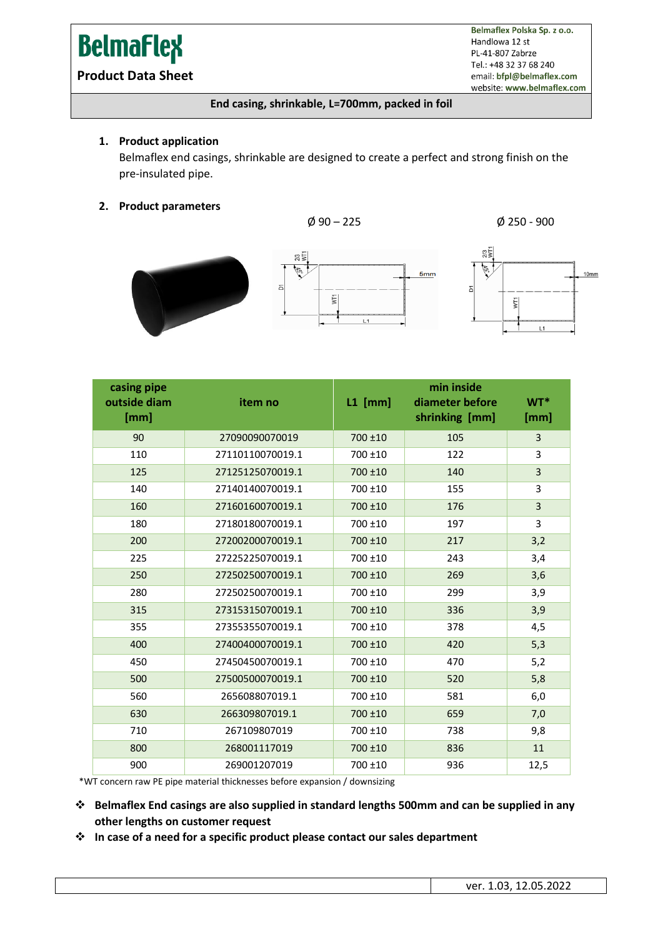# **BelmaFlex**

**Product Data Sheet**

Belmaflex Polska Sp. z o.o. Handlowa 12 st PL-41-807 Zabrze Tel.: +48 32 37 68 240 email: bfpl@belmaflex.com website: www.belmaflex.com

#### **End casing, shrinkable, L=700mm, packed in foil**

#### **1. Product application**

Belmaflex end casings, shrinkable are designed to create a perfect and strong finish on the pre-insulated pipe.

5mm

#### **2. Product parameters**





| casing pipe<br>outside diam<br>[mm] | item no          | $L1$ [mm]  | min inside<br>diameter before<br>shrinking [mm] | WT*<br>[mm]    |
|-------------------------------------|------------------|------------|-------------------------------------------------|----------------|
| 90                                  | 27090090070019   | 700 ±10    | 105                                             | $\overline{3}$ |
| 110                                 | 27110110070019.1 | 700 ±10    | 122                                             | 3              |
| 125                                 | 27125125070019.1 | 700 ±10    | 140                                             | $\overline{3}$ |
| 140                                 | 27140140070019.1 | 700 ±10    | 155                                             | 3              |
| 160                                 | 27160160070019.1 | 700 ±10    | 176                                             | 3              |
| 180                                 | 27180180070019.1 | 700 ±10    | 197                                             | 3              |
| 200                                 | 27200200070019.1 | 700 ±10    | 217                                             | 3,2            |
| 225                                 | 27225225070019.1 | 700 ±10    | 243                                             | 3,4            |
| 250                                 | 27250250070019.1 | 700 ±10    | 269                                             | 3,6            |
| 280                                 | 27250250070019.1 | 700 ±10    | 299                                             | 3,9            |
| 315                                 | 27315315070019.1 | 700 ±10    | 336                                             | 3,9            |
| 355                                 | 27355355070019.1 | $700 + 10$ | 378                                             | 4,5            |
| 400                                 | 27400400070019.1 | 700 ±10    | 420                                             | 5,3            |
| 450                                 | 27450450070019.1 | 700 ±10    | 470                                             | 5,2            |
| 500                                 | 27500500070019.1 | 700 ±10    | 520                                             | 5,8            |
| 560                                 | 265608807019.1   | 700 ±10    | 581                                             | 6,0            |
| 630                                 | 266309807019.1   | 700 ±10    | 659                                             | 7,0            |
| 710                                 | 267109807019     | 700 ±10    | 738                                             | 9,8            |
| 800                                 | 268001117019     | 700 ±10    | 836                                             | 11             |
| 900                                 | 269001207019     | 700 ±10    | 936                                             | 12,5           |

\*WT concern raw PE pipe material thicknesses before expansion / downsizing

- ❖ **Belmaflex End casings are also supplied in standard lengths 500mm and can be supplied in any other lengths on customer request**
- ❖ **In case of a need for a specific product please contact our sales department**